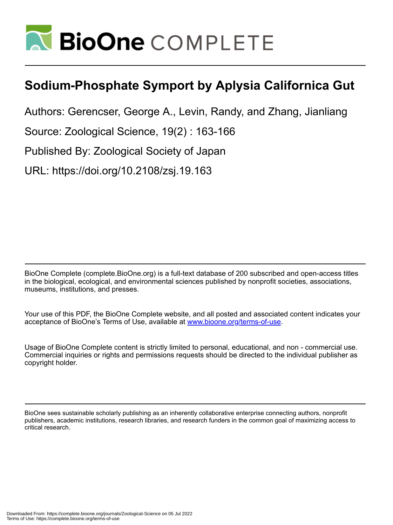

# **Sodium-Phosphate Symport by Aplysia Californica Gut**

Authors: Gerencser, George A., Levin, Randy, and Zhang, Jianliang

Source: Zoological Science, 19(2) : 163-166

Published By: Zoological Society of Japan

URL: https://doi.org/10.2108/zsj.19.163

BioOne Complete (complete.BioOne.org) is a full-text database of 200 subscribed and open-access titles in the biological, ecological, and environmental sciences published by nonprofit societies, associations, museums, institutions, and presses.

Your use of this PDF, the BioOne Complete website, and all posted and associated content indicates your acceptance of BioOne's Terms of Use, available at www.bioone.org/terms-of-use.

Usage of BioOne Complete content is strictly limited to personal, educational, and non - commercial use. Commercial inquiries or rights and permissions requests should be directed to the individual publisher as copyright holder.

BioOne sees sustainable scholarly publishing as an inherently collaborative enterprise connecting authors, nonprofit publishers, academic institutions, research libraries, and research funders in the common goal of maximizing access to critical research.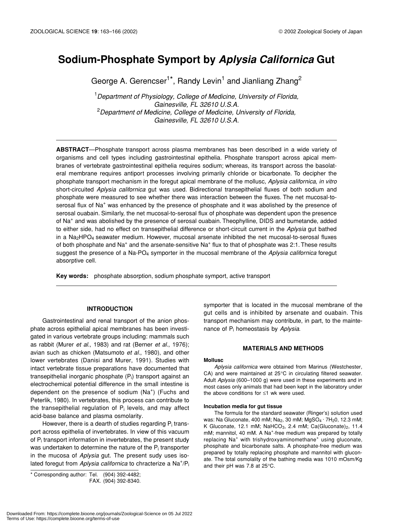# **Sodium-Phosphate Symport by** *Aplysia Californica* **Gut**

George A. Gerencser<sup>1\*</sup>, Randy Levin<sup>1</sup> and Jianliang Zhang<sup>2</sup>

1 *Department of Physiology, College of Medicine, University of Florida, Gainesville, FL 32610 U.S.A.* 2 *Department of Medicine, College of Medicine, University of Florida, Gainesville, FL 32610 U.S.A.*

**ABSTRACT**—Phosphate transport across plasma membranes has been described in a wide variety of organisms and cell types including gastrointestinal epithelia. Phosphate transport across apical membranes of vertebrate gastrointestinal epithelia requires sodium; whereas, its transport across the basolateral membrane requires antiport processes involving primarily chloride or bicarbonate. To decipher the phosphate transport mechanism in the foregut apical membrane of the mollusc, *Aplysia californica*, *in vitro* short-circuited *Aplysia californica* gut was used. Bidirectional transepithelial fluxes of both sodium and phosphate were measured to see whether there was interaction between the fluxes. The net mucosal-toserosal flux of Na<sup>+</sup> was enhanced by the presence of phosphate and it was abolished by the presence of serosal ouabain. Similarly, the net mucosal-to-serosal flux of phosphate was dependent upon the presence of Na<sup>+</sup> and was abolished by the presence of serosal ouabain. Theophylline, DIDS and bumetande, added to either side, had no effect on transepithelial difference or short-circuit current in the *Aplysia* gut bathed in a  $Na<sub>2</sub>HPO<sub>4</sub>$  seawater medium. However, mucosal arsenate inhibited the net mucosal-to-serosal fluxes of both phosphate and Na<sup>+</sup> and the arsenate-sensitive Na<sup>+</sup> flux to that of phosphate was 2:1. These results suggest the presence of a Na-PO4 symporter in the mucosal membrane of the *Aplysia californica* foregut absorptive cell.

**Key words:** phosphate absorption, sodium phosphate symport, active transport

# **INTRODUCTION**

Gastrointestinal and renal transport of the anion phosphate across epithelial apical membranes has been investigated in various vertebrate groups including: mammals such as rabbit (Murer *et al.*, 1983) and rat (Berner *et al.*, 1976); avian such as chicken (Matsumoto *et al.*, 1980), and other lower vertebrates (Danisi and Murer, 1991). Studies with intact vertebrate tissue preparations have documented that transepithelial inorganic phosphate  $(P_i)$  transport against an electrochemical potential difference in the small intestine is dependent on the presence of sodium (Na<sup>+</sup>) (Fuchs and Peterlik, 1980). In vertebrates, this process can contribute to the transepithelial regulation of  $P_i$  levels, and may affect acid-base balance and plasma osmolarity.

However, there is a dearth of studies regarding  $P_i$  transport across epithelia of invertebrates. In view of this vacuum of  $P_i$  transport information in invertebrates, the present study was undertaken to determine the nature of the  $P_i$  transporter in the mucosa of *Aplysia* gut. The present sudy uses isolated foregut from Aplysia californica to chracterize a Na<sup>+</sup>/P<sub>i</sub>

\* Corresponding author: Tel. (904) 392-4482; FAX. (904) 392-8340.

symporter that is located in the mucosal membrane of the gut cells and is inhibited by arsenate and ouabain. This transport mechanism may contribute, in part, to the maintenance of Pi homeostasis by *Aplysia*.

#### **MATERIALS AND METHODS**

#### **Mollusc**

*Aplysia californica* were obtained from Marinus (Westchester, CA) and were maintained at 25°C in circulating filtered seawater. Adult *Aplysia* (600–1000 g) were used in these experiments and in most cases only animals that had been kept in the laboratory under the above conditions for ≤1 wk were used.

#### **Incubation media for gut tissue**

The formula for the standard seawater (Ringer's) solution used was: Na Gluconate, 400 mM; Na<sub>2</sub>, 30 mM; MgSO<sub>4</sub> · 7H<sub>2</sub>0, 12.3 mM; K Gluconate, 12.1 mM; NaHCO<sub>3</sub>, 2.4 mM; Ca(Gluconate)<sub>2</sub>, 11.4 mM; mannitol, 40 mM. A Na<sup>+</sup>-free medium was prepared by totally replacing Na<sup>+</sup> with trishydroxyaminomethane<sup>+</sup> using gluconate, phosphate and bicarbonate salts. A phosphate-free medium was prepared by totally replacing phosphate and mannitol with gluconate. The total osmolality of the bathing media was 1010 mOsm/Kg and their pH was 7.8 at 25°C.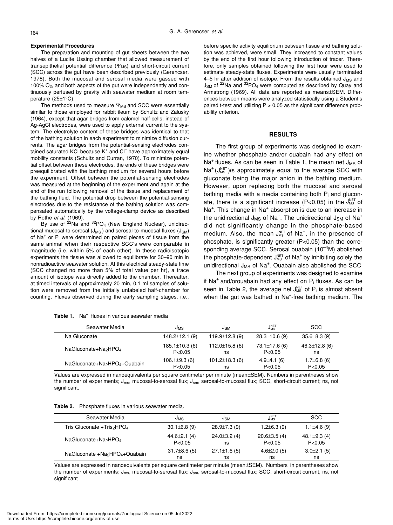#### **Experimental Procedures**

The preparation and mounting of gut sheets between the two halves of a Lucite Ussing chamber that allowed measurement of transepithelial potential difference  $(\Psi_{MS})$  and short-circuit current (SCC) across the gut have been described previously (Gerencser, 1978). Both the mucosal and serosal media were gassed with 100% O2, and both aspects of the gut were independently and continuously perfused by gravity with seawater medium at room temperature (25±1°C).

The methods used to measure  $\Psi_{\text{MS}}$  and SCC were essentially similar to those employed for rabbit ileum by Schultz and Zalusky (1964), except that agar bridges from calomel half-cells, instead of Ag-AgCl electrodes, were used to apply external current to the system. The electrolyte content of these bridges was identical to that of the bathing solution in each experiment to minimize diffusion currents. The agar bridges from the potential-sensing electrodes contained saturated KCI because K<sup>+</sup> and CI<sup>-</sup> have approximately equal mobility constants (Schultz and Curran, 1970). To minimize potential offset between these electrodes, the ends of these bridges were preequilibrated with the bathing medium for several hours before the experiment. Offset between the potential-sensing electrodes was measured at the beginning of the experiment and again at the end of the run following removal of the tissue and replacement of the bathing fluid. The potential drop between the potential-sensing electrodes due to the resistance of the bathing solution was compensated automatically by the voltage-clamp device as described by Rothe *et al.* (1969).

By use of  $2^{2}$ Na and  $3^{2}$ PO<sub>4</sub> (New England Nuclear), unidirectional mucosal-to-serosal ( $J_{MS}$ ) and serosal-to-mucosal fluxes ( $J_{SM}$ ) of Na<sup>+</sup> or P<sub>i</sub> were determined on paired pieces of tissue from the same animal when their respective SCC's were comparable in magnitude (i.e. within 5% of each other). In these radioisotopic experiments the tissue was allowed to equilibrate for 30–90 min in nonradioactive seawater solution. At this electrical steady-state time (SCC changed no more than 5% of total value per hr), a trace amount of isotope was directly added to the chamber. Thereafter, at timed intervals of approximately 20 min, 0.1 ml samples of solution were removed from the initially unlabeled half-chamber for counting. Fluxes observed during the early sampling stages, i.e.,

Table 1. Na<sup>+</sup> fluxes in various seawater media

before specific activity equilibrium between tissue and bathing solution was achieved, were small. They increased to constant values by the end of the first hour following introduction of tracer. Therefore, only samples obtained following the first hour were used to estimate steady-state fluxes. Experiments were usually terminated 4–5 hr after addition of isotope. From the results obtained  $J_{MS}$  and  $J_{SM}$  of <sup>22</sup>Na and <sup>32</sup>PO<sub>4</sub> were computed as described by Quay and Armstrong (1969). All data are reported as means±SEM. Differences between means were analyzed statistically using a Student's paired t-test and utilizing  $P > 0.05$  as the significant difference probability criterion.

## **RESULTS**

The first group of experiments was designed to examine whether phosphate and/or ouabain had any effect on Na<sup>+</sup> fluxes. As can be seen in Table 1, the mean net  $J_{MS}$  of  $Na^{+}(J_{MS}^{NET})$  is approximately equal to the average SCC with gluconate being the major anion in the bathing medium. However, upon replacing both the mucosal and serosal bathing media with a media containing both  $P_i$  and gluconate, there is a significant increase (P<0.05) in the  $J_{MS}^{NET}$  of Na<sup>+</sup>. This change in Na<sup>+</sup> absorption is due to an increase in the unidirectional J<sub>MS</sub> of Na<sup>+</sup>. The unidirectional J<sub>SM</sub> of Na<sup>+</sup> did not significantly change in the phosphate-based medium. Also, the mean  $J_{MS}^{NET}$  of Na<sup>+</sup>, in the presence of phosphate, is significantly greater (P<0.05) than the corresponding average SCC. Serosal ouabain (10<sup>-4</sup>M) abolished the phosphate-dependent  $J_{MS}^{NET}$  of Na<sup>+</sup> by inhibiting solely the unidirectional  $J_{MS}$  of Na<sup>+</sup>. Ouabain also abolished the SCC

The next group of experiments was designed to examine if Na<sup>+</sup> and/orouabain had any effect on  $P_i$  fluxes. As can be seen in Table 2, the average net J $_{\rm MS}^{\rm NET}$  of P<sub>i</sub> is almost absent when the gut was bathed in Na<sup>+</sup>-free bathing medium. The

| Seawater Media                                        | JMS                  | J <sub>SM</sub>      | $J_{\rm MS}^{\rm NET}$ | <b>SCC</b>          |
|-------------------------------------------------------|----------------------|----------------------|------------------------|---------------------|
| Na Gluconate                                          | $148.2 \pm 12.1$ (9) | $119.9 \pm 12.8$ (9) | $28.3 \pm 10.6$ (9)    | $35.6 \pm 8.3$ (9)  |
| NaGluconate+Na <sub>2</sub> HPO <sub>4</sub>          | $185.1 \pm 10.3$ (6) | $112.0 \pm 15.8$ (6) | $73.1 \pm 17.6$ (6)    | $46.3 \pm 12.8$ (6) |
|                                                       | P < 0.05             | ns                   | P < 0.05               | ns                  |
| NaGluconate+Na <sub>2</sub> HPO <sub>4</sub> +Ouabain | $106.1 \pm 9.3$ (6)  | $101.2 \pm 18.3$ (6) | $4.9 \pm 4.1(6)$       | $1.7\pm 6.8$ (6)    |
|                                                       | P < 0.05             | ns                   | P < 0.05               | P < 0.05            |

Values are expressed in nanoequivalents per square centimeter per minute (mean±SEM). Numbers in parentheses show the number of experiments;  $J_{ms}$ , mucosal-to-serosal flux;  $J_{sm}$ , serosal-to-mucosal flux; SCC, short-circuit current; ns, not significant.

|  | Table 2. Phosphate fluxes in various seawater media. |  |  |  |  |
|--|------------------------------------------------------|--|--|--|--|
|--|------------------------------------------------------|--|--|--|--|

| Seawater Media                                         | JMS                | JSM                | $J_{\rm MS}^{\rm NET}$ | <b>SCC</b>         |
|--------------------------------------------------------|--------------------|--------------------|------------------------|--------------------|
| Tris Gluconate +Tris <sub>2</sub> HPO <sub>4</sub>     | $30.1 \pm 6.8$ (9) | $28.9 \pm 7.3$ (9) | $1.2\pm 6.3(9)$        | $1.1\pm4.6(9)$     |
| NaGluconate+Na <sub>2</sub> HPO <sub>4</sub>           | $44.6 \pm 2.1(4)$  | $24.0 \pm 3.2(4)$  | $20.6 \pm 3.5(4)$      | 48.1 $\pm$ 9.3 (4) |
|                                                        | P < 0.05           | ns                 | P < 0.05               | P < 0.05           |
| NaGluconate +Na <sub>2</sub> HPO <sub>4</sub> +Ouabain | $31.7\pm8.6(5)$    | $27.1 \pm 1.6$ (5) | $4.6 \pm 2.0$ (5)      | $3.0\pm2.1(5)$     |
|                                                        | ns                 | ns                 | ns                     | ns                 |

Values are expressed in nanoequivalents per square centimeter per minute (mean±SEM). Numbers in parentheses show the number of experiments;  $J_{ms}$ , mucosal-to-serosal flux;  $J_{sm}$ , serosal-to-mucosal flux; SCC, short-circuit current, ns, not significant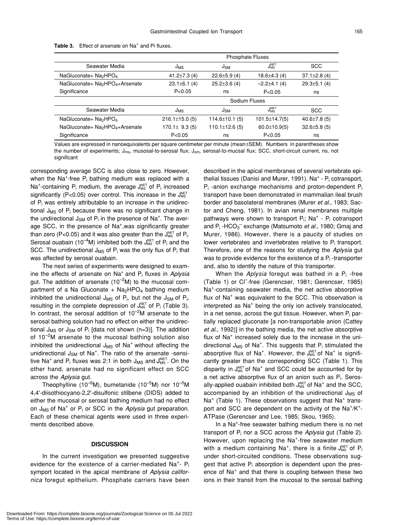|                                                         | <b>Phosphate Fluxes</b> |                      |                        |                    |
|---------------------------------------------------------|-------------------------|----------------------|------------------------|--------------------|
| Seawater Media                                          | J <sub>MS</sub>         | J <sub>SM</sub>      | $J_{\rm MS}^{\rm NET}$ | <b>SCC</b>         |
| NaGluconate+ Na <sub>2</sub> HPO <sub>4</sub>           | 41.2 $\pm$ 7.3 (4)      | $22.6 \pm 5.9(4)$    | $18.6 \pm 4.3(4)$      | $37.1 \pm 2.8$ (4) |
| NaGluconate+ Na <sub>2</sub> HPO <sub>4</sub> +Arsenate | $23.1 \pm 6.1$ (4)      | $25.2 \pm 3.6$ (4)   | $-2.2\pm 4.1(4)$       | $29.3 \pm 5.1$ (4) |
| Significance                                            | P < 0.05                | ns                   | P < 0.05               | ns                 |
|                                                         | Sodium Fluxes           |                      |                        |                    |
| Seawater Media                                          | J <sub>MS</sub>         | J <sub>SM</sub>      | $J_{\rm MS}^{\rm NET}$ | <b>SCC</b>         |
| NaGluconate+ Na <sub>2</sub> HPO <sub>4</sub>           | $216.1 \pm 15.0$ (5)    | $114.6 \pm 10.1$ (5) | $101.5 \pm 14.7(5)$    | $40.6 \pm 7.8$ (5) |
| NaGluconate+ Na <sub>2</sub> HPO <sub>4</sub> +Arsenate | $170.1 \pm 9.3(5)$      | $110.1 \pm 12.6$ (5) | $60.0 \pm 10.9(5)$     | $32.6 \pm 5.8$ (5) |
| Significance                                            | P < 0.05                | ns                   | P < 0.05               | ns                 |

|  | Table 3. Effect of arsenate on Na <sup>+</sup> and Pi fluxes. |  |
|--|---------------------------------------------------------------|--|
|--|---------------------------------------------------------------|--|

Values are expressed in nanoequivalents per square centimeter per minute (mean±SEM). Numbers in parentheses show the number of experiments;  $J_{ms}$ , musosal-to-serosal flux;  $J_{sm}$ , serosal-to-mucsal flux; SCC, short-circuit current, ns, not significant

corresponding average SCC is also close to zero. However, when the Na<sup>+</sup>-free P<sub>i</sub> bathing medium was replaced with a Na<sup>+</sup>-containing P<sub>i</sub> medium, the average  $J_{MS}^{NET}$  of P<sub>i</sub> increased significantly (P<0.05) over control. This increase in the  $J_{MS}^{NET}$ of  $P_i$  was entirely attributable to an increase in the unidirectional  $J_{MS}$  of  $P_i$  because there was no significant change in the undirectional  $J_{SM}$  of  $P_i$  in the presence of Na<sup>+</sup>. The average SCC, in the presence of Na<sup>+</sup>,was significantly greater than zero (P<0.05) and it was also greater than the  $J_{\text{\tiny MS}}^{\text{\tiny NET}}$  of P<sub>i</sub>. Serosal ouabain (10<sup>-4</sup>M) inhibited both the  $J_{MS}^{NET}$  of  $P_i$  and the SCC. The unidirectional  $J_{MS}$  of  $P_i$  was the only flux of  $P_i$  that was affected by serosal ouabain.

The next series of experiments were designed to examine the effects of arsenate on Na+ and Pi fluxes in *Aplysia* gut. The addition of arsenate (10<sup> $-2$ </sup>M) to the mucosal compartment of a Na Gluconate  $+$  Na<sub>2</sub>HPO<sub>4</sub> bathing medium inhibited the unidirectional  $J_{MS}$  of  $P_i$ , but not the  $J_{SM}$  of  $P_i$ , resulting in the complete depression of  $J_{MS}^{NET}$  of  $P_i$  (Table 3). In contrast, the serosal addition of  $10^{-2}$ M arsenate to the serosal bathing solution had no effect on either the unidirectional J<sub>MS</sub> or J<sub>SM</sub> of P<sub>i</sub> [data not shown (n=3)]. The addition of  $10^{-2}$ M arsenate to the mucosal bathing solution also inhibited the unidirectional  $J_{MS}$  of Na<sup>+</sup> without affecting the unidirectional J<sub>SM</sub> of Na<sup>+</sup>. The ratio of the arsenate -sensitive Na<sup>+</sup> and P<sub>i</sub> fluxes was 2:1 in both J<sub>MS</sub> and J<sup>NET</sup>. On the other hand, arsenate had no significant effect on SCC across the *Aplysia* gut.

Theophylline (10<sup>-6</sup>M), bumetanide (10<sup>-5</sup>M) nor 10<sup>-5</sup>M 4,4'-diisothiocyano-2,2'-disulfonic stilbene (DIDS) added to either the mucosal or serosal bathing medium had no effect on J<sub>MS</sub> of Na<sup>+</sup> or P<sub>i</sub> or SCC in the *Aplysia* gut preparation. Each of these chemical agents were used in three experiments described above.

#### **DISCUSSION**

In the current investigation we presented suggestive evidence for the existence of a carrier-mediated  $Na<sup>+</sup> - P<sub>i</sub>$ symport located in the apical membrane of *Aplysia californica* foregut epithelium. Phosphate carriers have been described in the apical membranes of several vertebrate epithelial tissues (Danisi and Murer, 1991). Na<sup>+</sup> - P<sub>i</sub> cotransport, Pi -anion exchange mechanisms and proton-dependent Pi transport have been demonstrated in mammalian ileal brush border and basolateral membranes (Murer *et al*., 1983; Sactor and Cheng, 1981). In avian renal membranes multiple pathways were shown to transport  $P_i$ ; Na<sup>+</sup> -  $P_i$  cotransport and P<sub>i</sub>-HCO<sub>3</sub><sup>-</sup> exchange (Matsumoto *et al.*, 1980; Gmaj and Murer, 1986). However, there is a paucity of studies on lower vertebrates and invertebrates relative to P<sub>i</sub> transport. Therefore, one of the reasons for studying the *Aplysia* gut was to provide evidence for the existence of a  $P_i$ -transporter and, also to identify the nature of this transporter.

When the *Aplysia* foregut was bathed in a P<sub>i</sub>-free (Table 1) or Cl– -free (Gerencser, 1981; Gerencser, 1985) Na<sup>+</sup> -containing seawater media, the net active absorptive flux of Na<sup>+</sup> was equivalent to the SCC. This observation is interpreted as Na<sup>+</sup> being the only ion actively translocated, in a net sense, across the gut tissue. However, when  $P_i$  partially replaced gluconate [a non-transportable anion (Cattey *et al*., 1992)] in the bathing media, the net active absorptive flux of Na<sup>+</sup> increased solely due to the increase in the unidirectional  $J_{MS}$  of Na<sup>+</sup>. This suggests that  $P_i$  stimulated the absorptive flux of Na<sup>+</sup>. However, the J<sup>NET</sup> of Na<sup>+</sup> is significantly greater than the corresponding SCC (Table 1). This disparity in  $J_{MS}^{NET}$  of Na<sup>+</sup> and SCC could be accounted for by a net active absorptive flux of an anion such as  $P_i$ . Serosally-applied ouabain inhibited both  $J_{MS}^{NET}$  of Na<sup>+</sup> and the SCC, accompanied by an inhibition of the unidirectional  $J_{MS}$  of Na<sup>+</sup> (Table 1). These observations suggest that Na<sup>+</sup> transport and SCC are dependent on the activity of the  $Na^+/K^+$ -ATPase (Gerencser and Lee, 1985; Skou, 1965).

In a Na<sup>+</sup>-free seawater bathing medium there is no net transport of Pi nor a SCC across the *Aplysia* gut (Table 2). However, upon replacing the Na<sup>+</sup>-free seawater medium with a medium containing Na<sup>+</sup>, there is a finite  $J_{MS}^{NET}$  of P<sub>i</sub> under short-circuited conditions. These observations suggest that active  $P_i$  absorption is dependent upon the presence of Na<sup>+</sup> and that there is coupling between these two ions in their transit from the mucosal to the serosal bathing